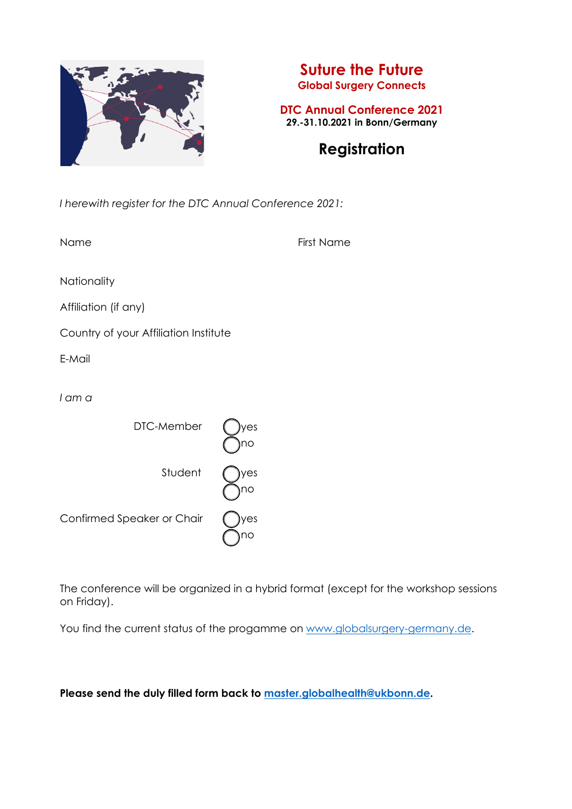

Confirmed Speaker or Chair

 $\bigcap$ no

## **Suture the Future Global Surgery Connects**

**DTC Annual Conference 2021 29.-31.10.2021 in Bonn/Germany** 

# **Registration**

*I herewith register for the DTC Annual Conference 2021:* 

| Name                                  | <b>First Name</b> |
|---------------------------------------|-------------------|
| Nationality                           |                   |
| Affiliation (if any)                  |                   |
| Country of your Affiliation Institute |                   |
| E-Mail                                |                   |
| I am a                                |                   |
| DTC-Member                            | yes<br>no         |
| Student                               | yes<br>no         |

The conference will be organized in a hybrid format (except for the workshop sessions on Friday).

You find the current status of the progamme on www.globalsurgery-germany.de.

**Please send the duly filled form back to master.globalhealth@ukbonn.de.**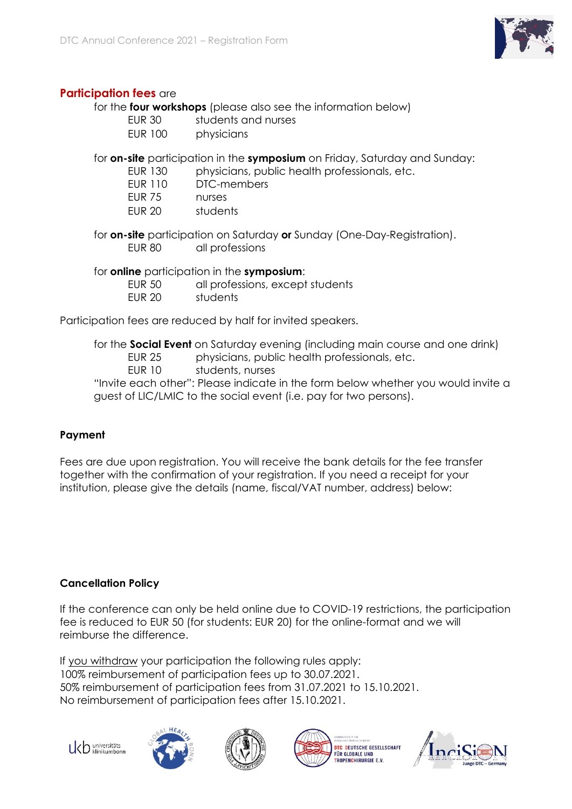

## **Participation fees** are

for the **four workshops** (please also see the information below)

| <b>EUR 30</b> | students and nurses |
|---------------|---------------------|
| EID 100       | nhugiojano          |

EUR 100 physicians

for **on-site** participation in the **symposium** on Friday, Saturday and Sunday:

EUR 130 physicians, public health professionals, etc.

EUR 110 DTC-members

EUR 75 nurses

EUR 20 students

 for **on-site** participation on Saturday **or** Sunday (One-Day-Registration). EUR 80 all professions

for **online** participation in the **symposium**:

EUR 50 all professions, except students

EUR 20 students

Participation fees are reduced by half for invited speakers.

for the **Social Event** on Saturday evening (including main course and one drink)

EUR 25 physicians, public health professionals, etc.

EUR 10 students, nurses

"Invite each other": Please indicate in the form below whether you would invite a guest of LIC/LMIC to the social event (i.e. pay for two persons).

## **Payment**

Fees are due upon registration. You will receive the bank details for the fee transfer together with the confirmation of your registration. If you need a receipt for your institution, please give the details (name, fiscal/VAT number, address) below:

#### **Cancellation Policy**

If the conference can only be held online due to COVID-19 restrictions, the participation fee is reduced to EUR 50 (for students: EUR 20) for the online-format and we will reimburse the difference.

If you withdraw your participation the following rules apply: 100% reimbursement of participation fees up to 30.07.2021. 50% reimbursement of participation fees from 31.07.2021 to 15.10.2021. No reimbursement of participation fees after 15.10.2021.